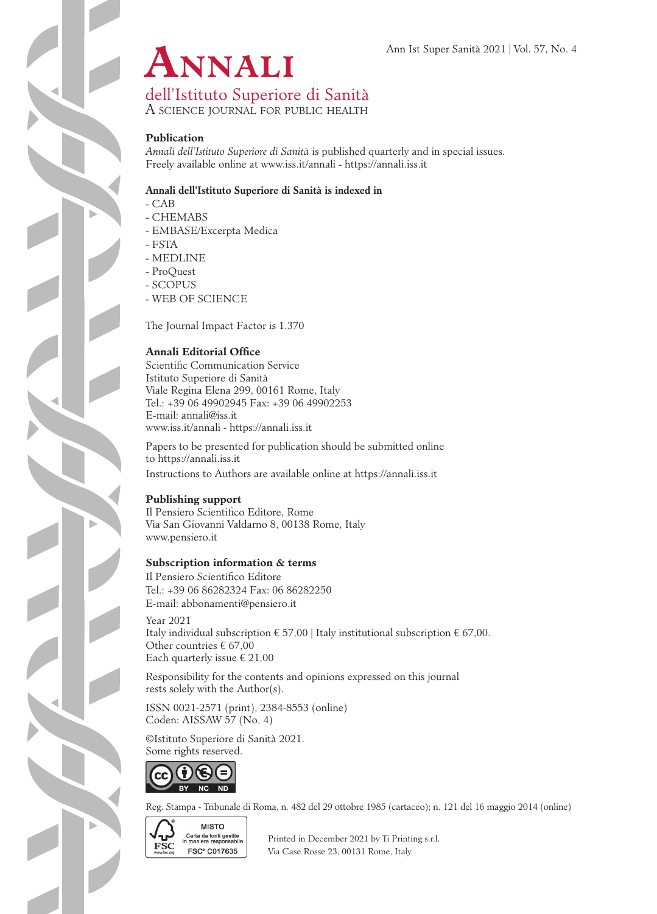

dell'Istituto Superiore di Sanità

A science journal for public health

### **Publication**

*Annali dell'Istituto Superiore di Sanità* is published quarterly and in special issues. Freely available online at www.iss.it/annali - https://annali.iss.it

#### **Annali dell'Istituto Superiore di Sanità is indexed in**

- CAB

- CHEMABS
- EMBASE/Excerpta Medica
- FSTA
- MEDLINE
- ProQuest
- SCOPUS
- WEB OF SCIENCE

The Journal Impact Factor is 1.370

## **Annali Editorial Office**

Scientific Communication Service Istituto Superiore di Sanità Viale Regina Elena 299, 00161 Rome, Italy Tel.: +39 06 49902945 Fax: +39 06 49902253 E-mail: annali@iss.it www.iss.it/annali - https://annali.iss.it

Papers to be presented for publication should be submitted online to https://annali.iss.it Instructions to Authors are available online at https://annali.iss.it

## **Publishing support**

Il Pensiero Scientifico Editore, Rome Via San Giovanni Valdarno 8, 00138 Rome, Italy www.pensiero.it

## **Subscription information & terms**

Il Pensiero Scientifico Editore Tel.: +39 06 86282324 Fax: 06 86282250 E-mail: abbonamenti@pensiero.it

Year 2021 Italy individual subscription  $\epsilon$  57,00 | Italy institutional subscription  $\epsilon$  67,00. Other countries € 67,00 Each quarterly issue  $\epsilon$  21,00

Responsibility for the contents and opinions expressed on this journal rests solely with the Author(s).

ISSN 0021-2571 (print), 2384-8553 (online) Coden: AISSAW 57 (No. 4)

©Istituto Superiore di Sanità 2021. Some rights reserved.



Reg. Stampa - Tribunale di Roma, n. 482 del 29 ottobre 1985 (cartaceo); n. 121 del 16 maggio 2014 (online)



Garta da fonti gestite<br>
FSC in maniera responsability Printed in December 2021 by Ti Printing s.r.l.<br>
FSC C017635 Vio Case Bosse 23, 00131 Borne, Italy **FSC<sup>®</sup> C017635** Via Case Rosse 23, 00131 Rome, Italy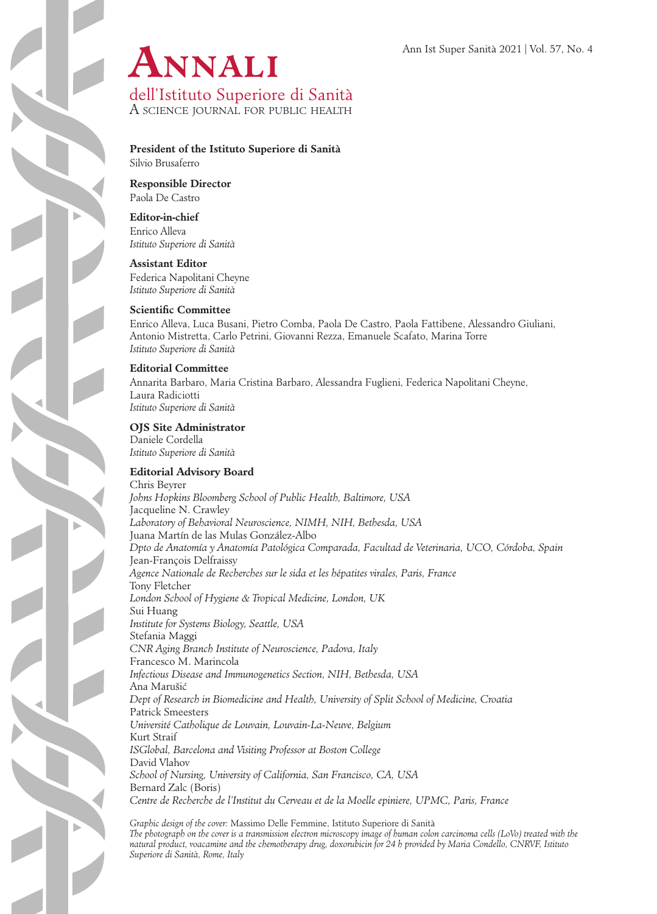

A science journal for public health

**President of the Istituto Superiore di Sanità**

Silvio Brusaferro

**Responsible Director** Paola De Castro

**Editor-in-chief**

Enrico Alleva *Istituto Superiore di Sanità*

**Assistant Editor** Federica Napolitani Cheyne *Istituto Superiore di Sanità*

## **Scientific Committee**

Enrico Alleva, Luca Busani, Pietro Comba, Paola De Castro, Paola Fattibene, Alessandro Giuliani, Antonio Mistretta, Carlo Petrini, Giovanni Rezza, Emanuele Scafato, Marina Torre *Istituto Superiore di Sanità*

## **Editorial Committee**

Annarita Barbaro, Maria Cristina Barbaro, Alessandra Fuglieni, Federica Napolitani Cheyne, Laura Radiciotti *Istituto Superiore di Sanità*

# **OJS Site Administrator**

Daniele Cordella *Istituto Superiore di Sanità*

## **Editorial Advisory Board**

Chris Beyrer *Johns Hopkins Bloomberg School of Public Health, Baltimore, USA* Jacqueline N. Crawley *Laboratory of Behavioral Neuroscience, NIMH, NIH, Bethesda, USA* Juana Martín de las Mulas González-Albo *Dpto de Anatomía y Anatomía Patológica Comparada, Facultad de Veterinaria, UCO, Córdoba, Spain* Jean-François Delfraissy *Agence Nationale de Recherches sur le sida et les hépatites virales, Paris, France* Tony Fletcher *London School of Hygiene & Tropical Medicine, London, UK* Sui Huang *Institute for Systems Biology, Seattle, USA*  Stefania Maggi *CNR Aging Branch Institute of Neuroscience, Padova, Italy*  Francesco M. Marincola *Infectious Disease and Immunogenetics Section, NIH, Bethesda, USA* Ana Marušic´ *Dept of Research in Biomedicine and Health, University of Split School of Medicine, Croatia*  Patrick Smeesters *Université Catholique de Louvain, Louvain-La-Neuve, Belgium* Kurt Straif *ISGlobal, Barcelona and Visiting Professor at Boston College* David Vlahov *School of Nursing, University of California, San Francisco, CA, USA* Bernard Zalc (Boris) *Centre de Recherche de l'Institut du Cerveau et de la Moelle epiniere, UPMC, Paris, France*

*Graphic design of the cover:* Massimo Delle Femmine, Istituto Superiore di Sanità *The photograph on the cover is a transmission electron microscopy image of human colon carcinoma cells (LoVo) treated with the natural product, voacamine and the chemotherapy drug, doxorubicin for 24 h provided by Maria Condello, CNRVF, Istituto Superiore di Sanità, Rome, Italy*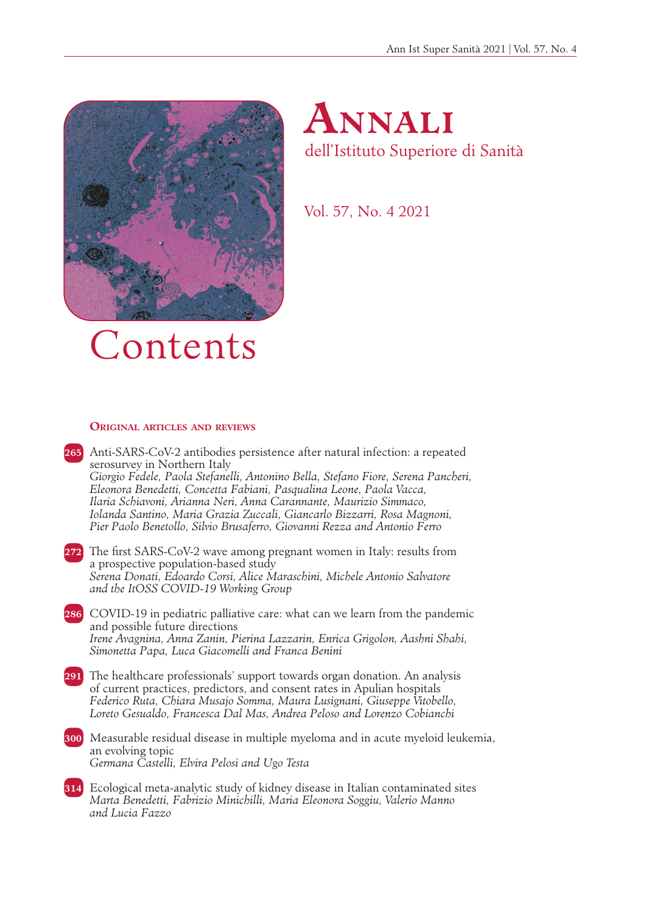



Vol. 57, No. 4 2021

# Contents

#### **Original articles and reviews**

**265** Anti-SARS-CoV-2 antibodies persistence after natural infection: a repeated serosurvey in Northern Italy *Giorgio Fedele, Paola Stefanelli, Antonino Bella, Stefano Fiore, Serena Pancheri, Eleonora Benedetti, Concetta Fabiani, Pasqualina Leone, Paola Vacca, Ilaria Schiavoni, Arianna Neri, Anna Carannante, Maurizio Simmaco, Iolanda Santino, Maria Grazia Zuccali, Giancarlo Bizzarri, Rosa Magnoni, Pier Paolo Benetollo, Silvio Brusaferro, Giovanni Rezza and Antonio Ferro* 

- **272** The first SARS-CoV-2 wave among pregnant women in Italy: results from a prospective population-based study *Serena Donati, Edoardo Corsi, Alice Maraschini, Michele Antonio Salvatore and the ItOSS COVID-19 Working Group*
- **286** COVID-19 in pediatric palliative care: what can we learn from the pandemic and possible future directions *Irene Avagnina, Anna Zanin, Pierina Lazzarin, Enrica Grigolon, Aashni Shahi, Simonetta Papa, Luca Giacomelli and Franca Benini*
- **291** The healthcare professionals' support towards organ donation. An analysis of current practices, predictors, and consent rates in Apulian hospitals *Federico Ruta, Chiara Musajo Somma, Maura Lusignani, Giuseppe Vitobello, Loreto Gesualdo, Francesca Dal Mas, Andrea Peloso and Lorenzo Cobianchi*
- **300** Measurable residual disease in multiple myeloma and in acute myeloid leukemia, an evolving topic *Germana Castelli, Elvira Pelosi and Ugo Testa*
- **314** Ecological meta-analytic study of kidney disease in Italian contaminated sites *Marta Benedetti, Fabrizio Minichilli, Maria Eleonora Soggiu, Valerio Manno and Lucia Fazzo*